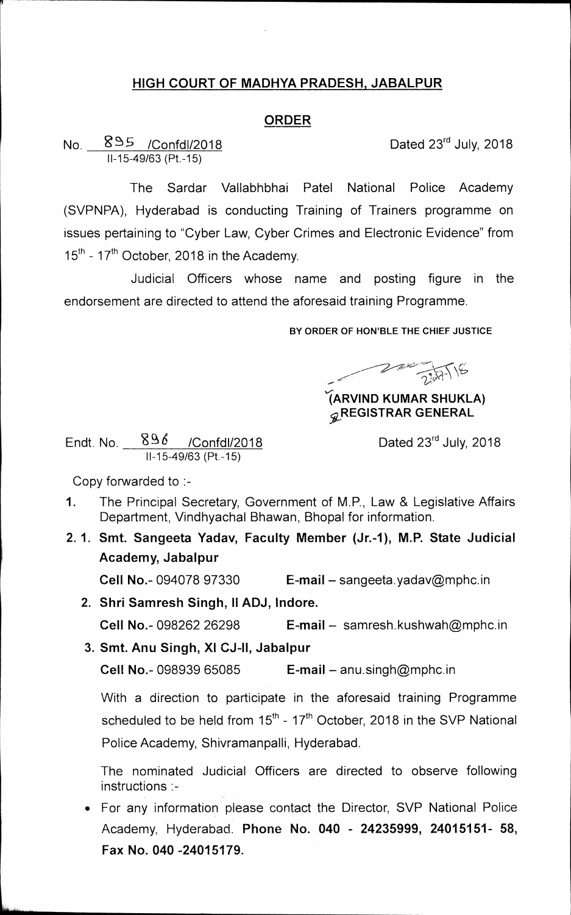## **HIGH COURT OF MADHYA PRADESH, JABALPUR**

## **ORDER**

No.  $895$  /Confdl/2018 **Dated 23<sup>rd</sup> July, 2018** 11-15-49/63 (Pt.-15)

**The Sardar Vallabhbhai Patel National Police Academy (SVPNPA), Hyderabad is conducting Training of Trainers programme on** 

**issues pertaining to "Cyber Law, Cyber Crimes and Electronic Evidence" from <sup>1</sup>5th** 17**th 17-October, 2018 in the Academy.** 

**Judicial Officers whose name and posting figure in the endorsement are directed to attend the aforesaid training Programme.** 

**BY ORDER OF HON'BLE THE CHIEF JUSTICE** 

 $27.776$ 

**'/(ARVIND KUMAR SHUKLA) REGISTRAR GENERAL** 

Endt. No.  $896$  /Confdl/2018 Dated 23<sup>rd</sup> July, 2018  $II - 15 - 49/63 (Pt - 15)$ 

**Copy forwarded to :-** 

- **1. The Principal Secretary, Government of M.P., Law & Legislative Affairs Department, Vindhyachal Bhawan, Bhopal for information.**
- **2. 1. Smt. Sangeeta Yadav, Faculty Member (Jr.-1), M.P. State Judicial Academy, Jabalpur**

**Cell No.- 094078 97330 E-mail – sangeeta.yadav@mphc.in** 

- **2. Shri Sam resh Singh, II ADJ, Indore.**  Cell No.- 098262 26298 **E-mail - samresh.kushwah@mphc.in**
- **3. Smt. Anu Singh, XI CJ-II, Jabalpur Cell No.- 098939 65085 E-mail - anu.singh@mphc.in**

**With a direction to participate in the aforesaid training Programme**  scheduled to be held from 15<sup>th</sup> - 17<sup>th</sup> October, 2018 in the SVP National **Police Academy, Shivramanpalli, Hyderabad.** 

**The nominated Judicial Officers are directed to observe following instructions :-** 

**• For any information please contact the Director, SVP National Police Academy, Hyderabad. Phone No. 040 - 24235999, 24015151- 58, Fax No. 040 -24015179.**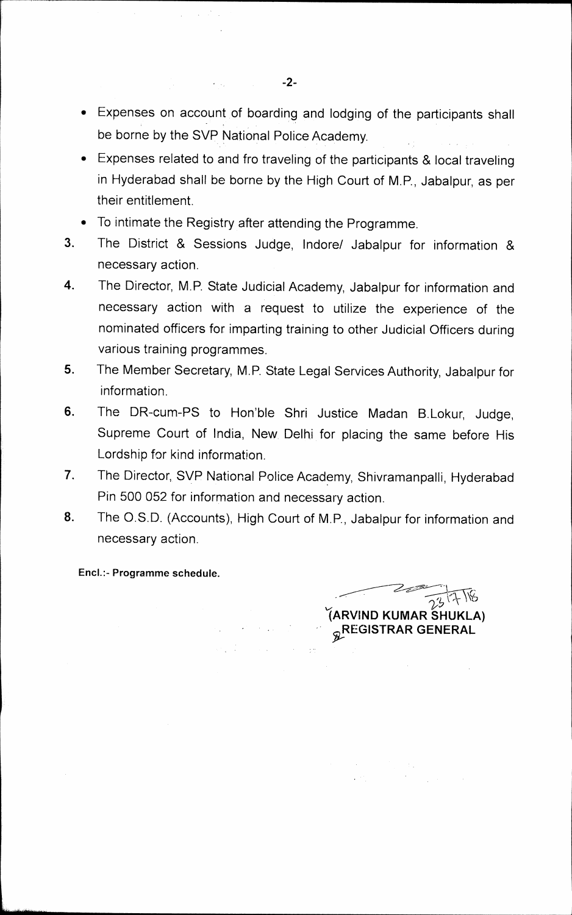- **Expenses on account of boarding and lodging of the participants shall be borne by the SVP National Police Academy.**
- **Expenses related to and fro traveling of the participants & local traveling in Hyderabad shall be borne by the High Court of M.P., Jabalpur, as per their entitlement.**
- **To intimate the Registry after attending the Programme.**

 $\epsilon = \omega_1$  .

- **3. The District & Sessions Judge, Indore/ Jabalpur for information & necessary action.**
- **4. The Director, M.P. State Judicial Academy, Jabalpur for information and necessary action with a request to utilize the experience of the nominated officers for imparting training to other Judicial Officers during various training programmes.**
- **5. The Member Secretary, M.P. State Legal Services Authority, Jabalpur for information.**
- **6. The DR-cum-PS to Hon'ble Shri Justice Madan B.Lokur, Judge, Supreme Court of India, New**. **Delhi for placing the same before His Lordship for kind information.**
- **7. The Director, SVP National Police Academy, Shivramanpalli, Hyderabad Pin 500 052 for information and necessary action.**
- **8. The O.S.D. (Accounts), High Court of M.P., Jabalpur for information and necessary action.**

**End.:- Programme schedule.** 

 $\frac{1}{23}$  73 17 118 **(ARVIND KUMAR SHUKLA) REGISTRAR GENERAL**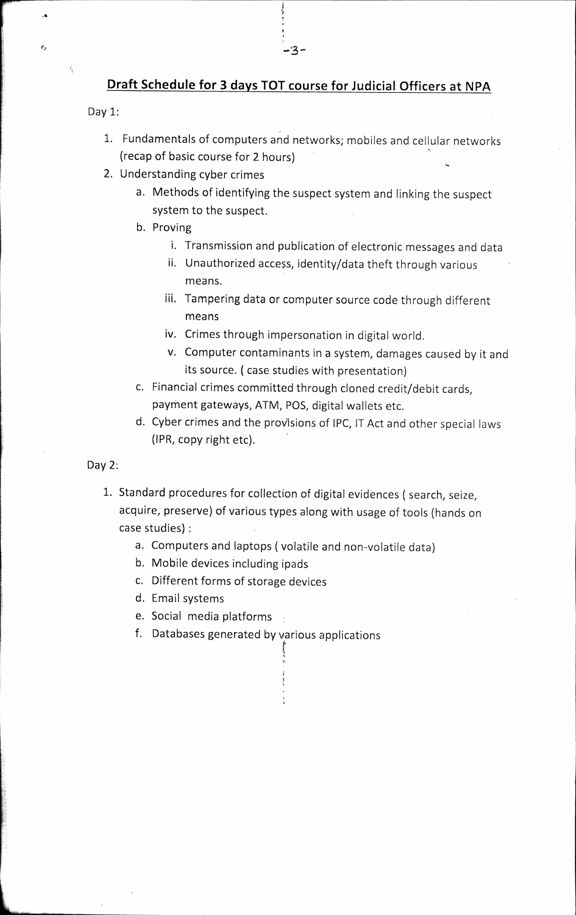## **Draft Schedule for 3 days TOT course for Judicial. Officers at NPA**

-3-

Day 1:

 $\epsilon$ 

- 1. Fundamentals of computers and networks; mobiles and cellular networks (recap of basic course for 2 hours)
- 2. Understanding cyber crimes
	- a. Methods of identifying the suspect system and linking the suspect system to the suspect.
	- b. Proving
		- i. Transmission and publication of electronic messages and data
		- ii. Unauthorized access, identity/data theft through various means.
		- iii. Tampering data or computer source code through different means
		- iv. Crimes through impersonation in digital world.
		- v. Computer contaminants in a system, damages caused by it and its source. ( case studies with presentation)
	- c. Financial crimes committed through cloned credit/debit cards, payment gateways, ATM, POS, digital wallets etc.
	- d. Cyber crimes and the proVisions of IPC, IT Act and other special laws (1PR, copy right etc).
- Day 2:
	- 1. Standard procedures for collection of digital evidences ( search, seize, acquire, preserve) of various types along with usage of tools (hands on case studies) :
		- a. Computers and laptops ( volatile and non-volatile data)
		- b. Mobile devices including ipads
		- c. Different forms of storage devices
		- d. Email systems
		- e. Social media platforms
		- f. Databases generated by various applications